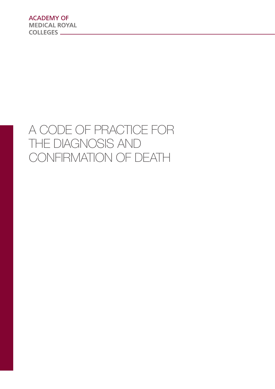# A CODE OF PRACTICE FOR THE DIAGNOSIS AND CONFIRMATION OF DEATH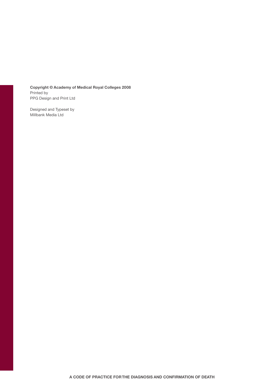**Copyright © Academy of Medical Royal Colleges 2008** Printed by PPG Design and Print Ltd

Designed and Typeset by Millbank Media Ltd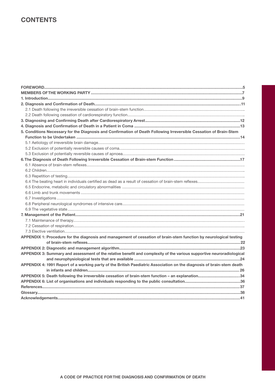# **CONTENTS**

| 5. Conditions Necessary for the Diagnosis and Confirmation of Death Following Irreversible Cessation of Brain-Stem    |  |
|-----------------------------------------------------------------------------------------------------------------------|--|
|                                                                                                                       |  |
|                                                                                                                       |  |
|                                                                                                                       |  |
|                                                                                                                       |  |
|                                                                                                                       |  |
|                                                                                                                       |  |
|                                                                                                                       |  |
|                                                                                                                       |  |
|                                                                                                                       |  |
|                                                                                                                       |  |
|                                                                                                                       |  |
|                                                                                                                       |  |
|                                                                                                                       |  |
|                                                                                                                       |  |
|                                                                                                                       |  |
|                                                                                                                       |  |
|                                                                                                                       |  |
|                                                                                                                       |  |
| APPENDIX 1: Procedure for the diagnosis and management of cessation of brain-stem function by neurological testing    |  |
|                                                                                                                       |  |
|                                                                                                                       |  |
| APPENDIX 3: Summary and assessment of the relative benefit and complexity of the various supportive neuroradiological |  |
|                                                                                                                       |  |
| APPENDIX 4: 1991 Report of a working party of the British Paediatric Association on the diagnosis of brain-stem death |  |
|                                                                                                                       |  |
| APPENDIX 5: Death following the irreversible cessation of brain-stem function - an explanation34                      |  |
|                                                                                                                       |  |
|                                                                                                                       |  |
|                                                                                                                       |  |
|                                                                                                                       |  |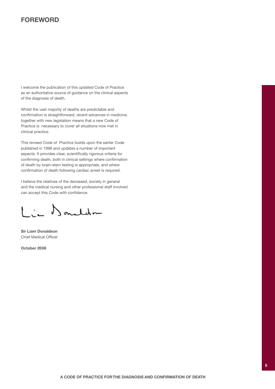### **ForEword**

I welcome the publication of this updated Code of Practice as an authoritative source of guidance on the clinical aspects of the diagnosis of death.

Whilst the vast majority of deaths are predictable and confirmation is straightforward, recent advances in medicine, together with new legislation means that a new Code of Practice is necessary to cover all situations now met in clinical practice.

This revised Code of Practice builds upon the earlier Code published in 1998 and updates a number of important aspects. It provides clear, scientifically rigorous criteria for confirming death, both in clinical settings where confirmation of death by brain-stem testing is appropriate, and where confirmation of death following cardiac arrest is required.

I believe the relatives of the deceased, society in general and the medical nursing and other professional staff involved can accept this Code with confidence.

 $1 -$  Donaldon

**Sir Liam Donaldson** Chief Medical Officer

**October 2008**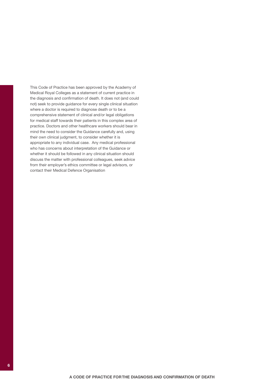This Code of Practice has been approved by the Academy of Medical Royal Colleges as a statement of current practice in the diagnosis and confirmation of death. It does not (and could not) seek to provide guidance for every single clinical situation where a doctor is required to diagnose death or to be a comprehensive statement of clinical and/or legal obligations for medical staff towards their patients in this complex area of practice. Doctors and other healthcare workers should bear in mind the need to consider the Guidance carefully and, using their own clinical judgment, to consider whether it is appropriate to any individual case. Any medical professional who has concerns about interpretation of the Guidance or whether it should be followed in any clinical situation should discuss the matter with professional colleagues, seek advice from their employer's ethics committee or legal advisors, or contact their Medical Defence Organisation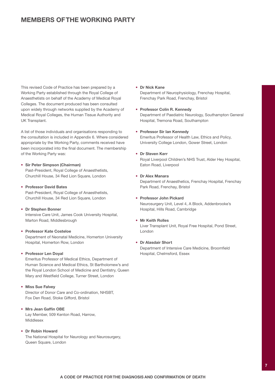### **Members ofthe Working Party**

This revised Code of Practice has been prepared by a Working Party established through the Royal College of Anaesthetists on behalf of the Academy of Medical Royal Colleges. The document produced has been consulted upon widely through networks supplied by the Academy of Medical Royal Colleges, the Human Tissue Authority and UK Transplant.

A list of those individuals and organisations responding to the consultation is included in Appendix 6. Where considered appropriate by the Working Party, comments received have been incorporated into the final document. The membership of the Working Party was:

- **• Sir Peter Simpson (Chairman)** Past-President, Royal College of Anaesthetists, Churchill House, 34 Red Lion Square, London
- **• Professor David Bates**

 Past-President, Royal College of Anaesthetists, Churchill House, 34 Red Lion Square, London

- **• Dr Stephen Bonner** Intensive Care Unit, James Cook University Hospital, Marton Road, Middlesbrough
- **• Professor Kate Costeloe**

 Department of Neonatal Medicine, Homerton University Hospital, Homerton Row, London

**• Professor Len Doyal** 

 Emeritus Professor of Medical Ethics, Department of Human Science and Medical Ethics, St Bartholomew's and the Royal London School of Medicine and Dentistry, Queen Mary and Westfield College, Turner Street, London

**• Miss Sue Falvey**

 Director of Donor Care and Co-ordination, NHSBT, Fox Den Road, Stoke Gifford, Bristol

**• Mrs Jean Gaffin OBE**

 Lay Member, 509 Kenton Road, Harrow, Middlesex

**• Dr Robin Howard**

The National Hospital for Neurology and Neurosurgery, Queen Square, London

- **• Dr Nick Kane** Department of Neurophysiology, Frenchay Hospital, Frenchay Park Road, Frenchay, Bristol
- **Professor Colin R. Kennedy**

Department of Paediatric Neurology, Southampton General Hospital, Tremona Road, Southampton

**• Professor Sir Ian Kennedy**

Emeritus Professor of Health Law, Ethics and Policy, University College London, Gower Street, London

**• Dr Steven Kerr** 

Royal Liverpool Children's NHS Trust, Alder Hey Hospital, Eaton Road, Liverpool

**• Dr Alex Manara**

 Department of Anaesthetics, Frenchay Hospital, Frenchay Park Road, Frenchay, Bristol

**• Professor John Pickard**

 Neurosurgery Unit, Level 4, A Block, Addenbrooke's Hospital, Hills Road, Cambridge

**• Mr Keith Rolles**

 Liver Transplant Unit, Royal Free Hospital, Pond Street, London

**• Dr Alasdair Short**

 Department of Intensive Care Medicine, Broomfield Hospital, Chelmsford, Essex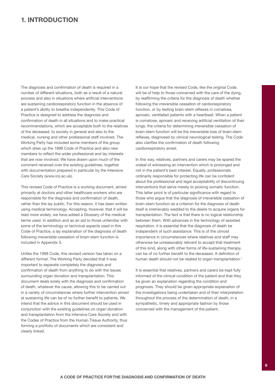### **1. Introduction**

The diagnosis and confirmation of death is required in a number of different situations, both as a result of a natural process and also in situations where artificial interventions are sustaining cardiorespiratory function in the absence of a patient's ability to breathe independently. This Code of Practice is designed to address the diagnosis and confirmation of death in all situations and to make practical recommendations, which are acceptable both to the relatives of the deceased, to society in general and also to the medical, nursing and other professional staff involved. The Working Party has included some members of the group which drew up the 1998 Code of Practice and also new members to reflect the wider professional and lay interests that are now involved. We have drawn upon much of the comment received over the existing guidelines, together with documentation prepared in particular by the Intensive Care Society (www.ics.ac.uk).

This revised Code of Practice is a working document, aimed primarily at doctors and other healthcare workers who are responsible for the diagnosis and confirmation of death, rather than the lay public. For this reason, it has been written using medical terminology. Accepting, however, that it will be read more widely, we have added a Glossary of the medical terms used. In addition and as an aid to those unfamiliar with some of the terminology or technical aspects used in this Code of Practice, a lay explanation of the diagnosis of death following irreversible cessation of brain-stem function is included in Appendix 5.

Unlike the 1998 Code, this revised version has taken on a different format. The Working Party decided that it was important to separate completely the diagnosis and confirmation of death from anything to do with the issues surrounding organ donation and transplantation. This document deals solely with the diagnosis and confirmation of death, whatever the cause, allowing this to be carried out in a variety of circumstances where further intervention aimed at sustaining life can be of no further benefit to patients. We intend that the advice in this document should be used in conjunction with the existing guidelines on organ donation and transplantation from the Intensive Care Society and with the Codes of Practice from the Human Tissue Authority, thus forming a portfolio of documents which are consistent and clearly linked.

It is our hope that the revised Code, like the original Code, will be of help to those concerned with the care of the dying, by reaffirming the criteria for the diagnosis of death whether following the irreversible cessation of cardiorespiratory function, or by testing brain-stem reflexes in comatose, apnoeic, ventilated patients with a heartbeat. When a patient is comatose, apnoeic and receiving artificial ventilation of their lungs, the criteria for determining irreversible cessation of brain-stem function will be the irreversible loss of brain-stem reflexes, diagnosed by clinical neurological testing. The Code also clarifies the confirmation of death following cardiorespiratory arrest.

In this way, relatives, partners and carers may be spared the ordeal of witnessing an intervention which is prolonged and not in the patient's best interest. Equally, professionals ordinarily responsible for protecting life can be confident about the professional and legal acceptability of discontinuing interventions that serve merely to prolong somatic function. This latter point is of particular significance with regard to those who argue that the diagnosis of irreversible cessation of brain-stem function as a criterion for the diagnosis of death itself is irretrievably wedded to the desire to acquire organs for transplantation. The fact is that there is no logical relationship between them. With advances in the technology of assisted respiration, it is essential that the diagnosis of death be independent of such assistance. This is of the utmost importance in circumstances where relatives and staff may otherwise be unreasonably reticent to accept that treatment of this kind, along with other forms of life-sustaining therapy, can be of no further benefit to the deceased. A definition of human death should not be related to organ transplantation.<sup>1</sup>

It is essential that relatives, partners and carers be kept fully informed of the clinical condition of the patient and that they be given an explanation regarding the condition and prognosis. They should be given appropriate explanation of the investigations being undertaken and of their interpretation throughout the process of the determination of death, in a sympathetic, timely and appropriate fashion by those concerned with the management of the patient.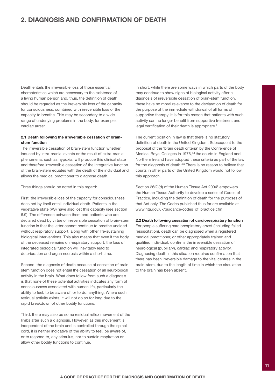### **2. DIAGNOSIS AND CONFIRMATION OF DEATH**

Death entails the irreversible loss of those essential characteristics which are necessary to the existence of a living human person and, thus, the definition of death should be regarded as the irreversible loss of the capacity for consciousness, combined with irreversible loss of the capacity to breathe. This may be secondary to a wide range of underlying problems in the body, for example, cardiac arrest.

#### 2.1 Death following the irreversible cessation of brainstem function

The irreversible cessation of brain-stem function whether induced by intra-cranial events or the result of extra-cranial phenomena, such as hypoxia, will produce this clinical state and therefore irreversible cessation of the integrative function of the brain-stem equates with the death of the individual and allows the medical practitioner to diagnose death.

Three things should be noted in this regard:

First, the irreversible loss of the capacity for consciousness does not by itself entail individual death. Patients in the vegetative state (VS) have also lost this capacity (see section 6.9). The difference between them and patients who are declared dead by virtue of irreversible cessation of brain-stem function is that the latter cannot continue to breathe unaided without respiratory support, along with other life-sustaining biological interventions. This also means that even if the body of the deceased remains on respiratory support, the loss of integrated biological function will inevitably lead to deterioration and organ necrosis within a short time.

Second, the diagnosis of death because of cessation of brainstem function does not entail the cessation of all neurological activity in the brain. What does follow from such a diagnosis is that none of these potential activities indicates any form of consciousness associated with human life, particularly the ability to feel, to be aware of, or to do, anything. Where such residual activity exists, it will not do so for long due to the rapid breakdown of other bodily functions.

Third, there may also be some residual reflex movement of the limbs after such a diagnosis. However, as this movement is independent of the brain and is controlled through the spinal cord, it is neither indicative of the ability to feel, be aware of, or to respond to, any stimulus, nor to sustain respiration or allow other bodily functions to continue.

In short, while there are some ways in which parts of the body may continue to show signs of biological activity after a diagnosis of irreversible cessation of brain-stem function, these have no moral relevance to the declaration of death for the purpose of the immediate withdrawal of all forms of supportive therapy. It is for this reason that patients with such activity can no longer benefit from supportive treatment and legal certification of their death is appropriate.<sup>2</sup>

The current position in law is that there is no statutory definition of death in the United Kingdom. Subsequent to the proposal of the 'brain death criteria' by the Conference of Medical Royal Colleges in 1976,<sup>3,4</sup> the courts in England and Northern Ireland have adopted these criteria as part of the law for the diagnosis of death.<sup>5,6</sup> There is no reason to believe that courts in other parts of the United Kingdom would not follow this approach.

Section 26(2)(d) of the Human Tissue Act 2004<sup>7</sup> empowers the Human Tissue Authority to develop a series of Codes of Practice, including the definition of death for the purposes of that Act only. The Codes published thus far are available at www.hta.gov.uk/guidance/codes\_of\_practice.cfm

#### 2.2 Death following cessation of cardiorespiratory function

For people suffering cardiorespiratory arrest (including failed resuscitation), death can be diagnosed when a registered medical practitioner, or other appropriately trained and qualified individual, confirms the irreversible cessation of neurological (pupillary), cardiac and respiratory activity. Diagnosing death in this situation requires confirmation that there has been irreversible damage to the vital centres in the brain-stem, due to the length of time in which the circulation to the brain has been absent.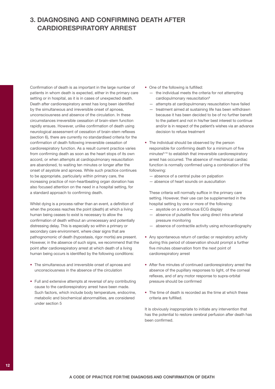### 3. DIAGNOSING AND CONFIRMING DEATH AFTER CARDIORESPIRATORY ARREST

Confirmation of death is as important in the large number of patients in whom death is expected, either in the primary care setting or in hospital, as it is in cases of unexpected death. Death after cardiorespiratory arrest has long been identified by the simultaneous and irreversible onset of apnoea, unconsciousness and absence of the circulation. In these circumstances irreversible cessation of brain-stem function rapidly ensues. However, unlike confirmation of death using neurological assessment of cessation of brain-stem reflexes (section 6), there are currently no standardised criteria for the confirmation of death following irreversible cessation of cardiorespiratory function. As a result current practice varies from confirming death as soon as the heart stops of its own accord, or when attempts at cardiopulmonary resuscitation are abandoned, to waiting ten minutes or longer after the onset of asystole and apnoea. While such practice continues to be appropriate, particularly within primary care, the increasing practice of non-heartbeating organ donation has also focused attention on the need in a hospital setting, for a standard approach to confirming death.

Whilst dying is a process rather than an event, a definition of when the process reaches the point (death) at which a living human being ceases to exist is necessary to allow the confirmation of death without an unnecessary and potentially distressing delay. This is especially so within a primary or secondary care environment, where clear signs that are pathognomonic of death (hypostasis, rigor mortis) are present. However, in the absence of such signs, we recommend that the point after cardiorespiratory arrest at which death of a living human being occurs is identified by the following conditions:

- The simultaneous and irreversible onset of apnoea and unconsciousness in the absence of the circulation
- Full and extensive attempts at reversal of any contributing cause to the cardiorespiratory arrest have been made. Such factors, which include body temperature, endocrine, metabolic and biochemical abnormalities, are considered under section 5
- One of the following is fulfilled:
	- the individual meets the criteria for not attempting cardiopulmonary resuscitation<sup>8</sup>
	- attempts at cardiopulmonary resuscitation have failed
	- treatment aimed at sustaining life has been withdrawn because it has been decided to be of no further benefit to the patient and not in his/her best interest to continue and/or is in respect of the patient's wishes via an advance decision to refuse treatment
- The individual should be observed by the person responsible for confirming death for a minimum of five minutes<sup>9,10</sup> to establish that irreversible cardiorespiratory arrest has occurred. The absence of mechanical cardiac function is normally confirmed using a combination of the following:
	- absence of a central pulse on palpation
	- absence of heart sounds on auscultation

 These criteria will normally suffice in the primary care setting. However, their use can be supplemented in the hospital setting by one or more of the following:

- asystole on a continuous ECG display
- absence of pulsatile flow using direct intra-arterial pressure monitoring
- absence of contractile activity using echocardiography
- Any spontaneous return of cardiac or respiratory activity during this period of observation should prompt a further five minutes observation from the next point of cardiorespiratory arrest
- After five minutes of continued cardiorespiratory arrest the absence of the pupillary responses to light, of the corneal reflexes, and of any motor response to supra-orbital pressure should be confirmed
- The time of death is recorded as the time at which these criteria are fulfilled.

It is obviously inappropriate to initiate any intervention that has the potential to restore cerebral perfusion after death has been confirmed.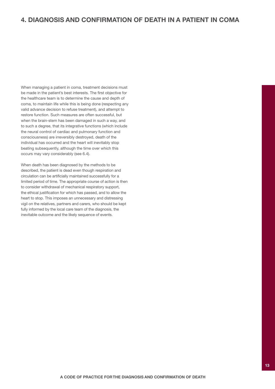When managing a patient in coma, treatment decisions must be made in the patient's best interests. The first objective for the healthcare team is to determine the cause and depth of coma, to maintain life while this is being done (respecting any valid advance decision to refuse treatment), and attempt to restore function. Such measures are often successful, but when the brain-stem has been damaged in such a way, and to such a degree, that its integrative functions (which include the neural control of cardiac and pulmonary function and consciousness) are irreversibly destroyed, death of the individual has occurred and the heart will inevitably stop beating subsequently, although the time over which this occurs may vary considerably (see 6.4).

When death has been diagnosed by the methods to be described, the patient is dead even though respiration and circulation can be artificially maintained successfully for a limited period of time. The appropriate course of action is then to consider withdrawal of mechanical respiratory support, the ethical justification for which has passed, and to allow the heart to stop. This imposes an unnecessary and distressing vigil on the relatives, partners and carers, who should be kept fully informed by the local care team of the diagnosis, the inevitable outcome and the likely sequence of events.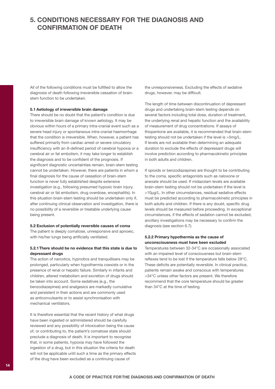### 5. CONDITIONS NECESSARY FOR THE DIAGNOSIS AND CONFIRMATION OF DEATH

All of the following conditions must be fulfilled to allow the diagnosis of death following irreversible cessation of brainstem function to be undertaken.

#### **5.1 Aetiology of irreversible brain damage**

There should be no doubt that the patient's condition is due to irreversible brain damage of known aetiology. It may be obvious within hours of a primary intra-cranial event such as a severe head injury or spontaneous intra-cranial haemorrhage that the condition is irreversible. When, however, a patient has suffered primarily from cardiac arrest or severe circulatory insufficiency with an ill-defined period of cerebral hypoxia or a cerebral air or fat embolism, it may take longer to establish the diagnosis and to be confident of the prognosis. If significant diagnostic uncertainties remain, brain-stem testing cannot be undertaken. However, there are patients in whom a final diagnosis for the cause of cessation of brain-stem function is never fully established despite extensive investigation (e.g., following presumed hypoxic brain injury, cerebral air or fat embolism, drug overdose, encephalitis). In this situation brain-stem testing should be undertaken only if, after continuing clinical observation and investigation, there is no possibility of a reversible or treatable underlying cause being present.

#### **5.2 Exclusion of potentially reversible causes of coma**

The patient is deeply comatose, unresponsive and apnoeic, with his/her lungs being artificially ventilated.

#### **5.2.1 There should be no evidence that this state is due to depressant drugs**

The action of narcotics, hypnotics and tranquillisers may be prolonged, particularly when hypothermia coexists or in the presence of renal or hepatic failure. Similarly in infants and children, altered metabolism and excretion of drugs should be taken into account. Some sedatives (e.g., the benzodiazepines) and analgesics are markedly cumulative and persistent in their actions and are commonly used as anticonvulsants or to assist synchronisation with mechanical ventilators.

It is therefore essential that the recent history of what drugs have been ingested or administered should be carefully reviewed and any possibility of intoxication being the cause of, or contributing to, the patient's comatose state should preclude a diagnosis of death. It is important to recognise that, in some patients, hypoxia may have followed the ingestion of a drug, but in this situation the criteria for death will not be applicable until such a time as the primary effects of the drug have been excluded as a continuing cause of

the unresponsiveness. Excluding the effects of sedative drugs, however, may be difficult.

The length of time between discontinuation of depressant drugs and undertaking brain-stem testing depends on several factors including total dose, duration of treatment, the underlying renal and hepatic function and the availability of measurement of drug concentrations. If assays of thiopentone are available, it is recommended that brain-stem testing should not be undertaken if the level is >5mg/L. If levels are not available then determining an adequate duration to exclude the effects of depressant drugs will involve prediction according to pharmacokinetic principles in both adults and children.

If opioids or benzodiazepines are thought to be contributing to the coma, specific antagonists such as naloxone or anexate should be used. If midazolam levels are available brain-stem testing should not be undertaken if the level is >10μg/L. In other circumstances, residual sedative effects must be predicted according to pharmacokinetic principles in both adults and children. If there is any doubt, specific drug levels should be measured before proceeding. In exceptional circumstances, if the effects of sedation cannot be excluded, ancillary investigations may be necessary to confirm the diagnosis (see section 6.7).

#### **5.2.2 Primary hypothermia as the cause of unconsciousness must have been excluded**

Temperatures between 32-34°C are occasionally associated with an impaired level of consciousness but brain-stem reflexes tend to be lost if the temperature falls below 28°C. These deficits are potentially reversible. In clinical practice, patients remain awake and conscious with temperatures >34°C unless other factors are present. We therefore recommend that the core temperature should be greater than 34°C at the time of testing.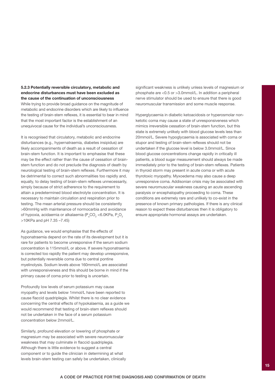**5.2.3 Potentially reversible circulatory, metabolic and endocrine disturbances must have been excluded as the cause of the continuation of unconsciousness** While trying to provide broad guidance on the magnitude of metabolic and endocrine disorders which are likely to influence the testing of brain-stem reflexes, it is essential to bear in mind that the most important factor is the establishment of an unequivocal cause for the individual's unconsciousness.

It is recognised that circulatory, metabolic and endocrine disturbances (e.g., hypernatraemia, diabetes insipidus) are likely accompaniments of death as a result of cessation of brain-stem function. It is important to emphasise that these may be the effect rather than the cause of cessation of brainstem function and do not preclude the diagnosis of death by neurological testing of brain-stem reflexes. Furthermore it may be detrimental to correct such abnormalities too rapidly and, equally, to delay testing of brain-stem reflexes unnecessarily, simply because of strict adherence to the requirement to attain a predetermined blood electrolyte concentration. It is necessary to maintain circulation and respiration prior to testing. The mean arterial pressure should be consistently >60mmHg with maintenance of normocarbia and avoidance of hypoxia, acidaemia or alkalaemia (P $_{\textrm{\tiny{a}}}$ CO $_{\textrm{\tiny{2}}}$  <6.0KPa, P $_{\textrm{\tiny{a}}}$ O $_{\textrm{\tiny{2}}}$ >10KPa and pH 7.35 –7.45)

As guidance, we would emphasise that the effects of hyponatraemia depend on the rate of its development but it is rare for patients to become unresponsive if the serum sodium concentration is 115mmol/L or above. If severe hyponatraemia is corrected too rapidly the patient may develop unresponsive, but potentially reversible coma due to central pontine myelinolysis. Sodium levels above 160mmol/L are associated with unresponsiveness and this should be borne in mind if the primary cause of coma prior to testing is uncertain.

Profoundly low levels of serum potassium may cause myopathy and levels below 1mmol/L have been reported to cause flaccid quadriplegia. Whilst there is no clear evidence concerning the central effects of hypokalaemia, as a guide we would recommend that testing of brain-stem reflexes should not be undertaken in the face of a serum potassium concentration below 2mmol/L.

Similarly, profound elevation or lowering of phosphate or magnesium may be associated with severe neuromuscular weakness that may culminate in flaccid quadriplegia. Although there is little evidence to suggest a central component or to guide the clinician in determining at what levels brain-stem testing can safely be undertaken, clinically significant weakness is unlikely unless levels of magnesium or phosphate are <0.5 or >3.0mmol/L. In addition a peripheral nerve stimulator should be used to ensure that there is good neuromuscular transmission and some muscle response.

Hyperglycaemia in diabetic ketoacidosis or hyperosmolar nonketotic coma may cause a state of unresponsiveness which mimics irreversible cessation of brain-stem function, but this state is extremely unlikely with blood glucose levels less than 20mmol/L. Severe hypoglycaemia is associated with coma or stupor and testing of brain-stem reflexes should not be undertaken if the glucose level is below 3.0mmol/L. Since blood glucose concentrations change rapidly in critically ill patients, a blood sugar measurement should always be made immediately prior to the testing of brain-stem reflexes. Patients in thyroid storm may present in acute coma or with acute thyrotoxic myopathy. Myxoedema may also cause a deep unresponsive coma. Addisonian crisis may be associated with severe neuromuscular weakness causing an acute ascending paralysis or encephalopathy proceeding to coma. These conditions are extremely rare and unlikely to co-exist in the presence of known primary pathologies. If there is any clinical reason to expect these disturbances then it is obligatory to ensure appropriate hormonal assays are undertaken.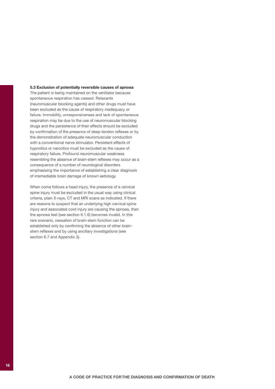#### **5.3 Exclusion of potentially reversible causes of apnoea**

The patient is being maintained on the ventilator because spontaneous respiration has ceased. Relaxants (neuromuscular blocking agents) and other drugs must have been excluded as the cause of respiratory inadequacy or failure. Immobility, unresponsiveness and lack of spontaneous respiration may be due to the use of neuromuscular blocking drugs and the persistence of their effects should be excluded by confirmation of the presence of deep-tendon reflexes or by the demonstration of adequate neuromuscular conduction with a conventional nerve stimulator. Persistent effects of hypnotics or narcotics must be excluded as the cause of respiratory failure. Profound neuromuscular weakness resembling the absence of brain-stem reflexes may occur as a consequence of a number of neurological disorders emphasising the importance of establishing a clear diagnosis of irremediable brain damage of known aetiology.

When coma follows a head injury, the presence of a cervical spine injury must be excluded in the usual way using clinical criteria, plain X-rays, CT and MRI scans as indicated. If there are reasons to suspect that an underlying high cervical spine injury and associated cord injury are causing the apnoea, then the apnoea test (see section 6.1.6) becomes invalid. In this rare scenario, cessation of brain-stem function can be established only by confirming the absence of other brainstem reflexes and by using ancillary investigations (see section 6.7 and Appendix 3).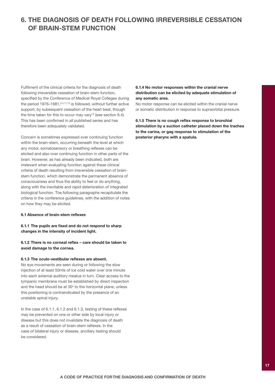# 6. THE DIAGNOSIS OF DEATH FOLLOWING IRREVERSIBLE CESSATION OF BRAIN-STEM FUNCTION

Fulfilment of the clinical criteria for the diagnosis of death following irreversible cessation of brain-stem function, specified by the Conference of Medical Royal Colleges during the period 1976–1981,<sup>3,4,11,12</sup> is followed, without further active support, by subsequent cessation of the heart beat, though the time taken for this to occur may vary<sup>13</sup> (see section 6.4). This has been confirmed in all published series and has therefore been adequately validated.

Concern is sometimes expressed over continuing function within the brain-stem, occurring beneath the level at which any motor, somatosensory or breathing reflexes can be elicited and also over continuing function in other parts of the brain. However, as has already been indicated, both are irrelevant when evaluating function against these clinical criteria of death resulting from irreversible cessation of brainstem function, which demonstrate the permanent absence of consciousness and thus the ability to feel or do anything, along with the inevitable and rapid deterioration of integrated biological function. The following paragraphs recapitulate the criteria in the conference guidelines, with the addition of notes on how they may be elicited.

#### **6.1 Absence of brain-stem reflexes**

#### **6.1.1 The pupils are fixed and do not respond to sharp changes in the intensity of incident light.**

#### **6.1.2 There is no corneal reflex – care should be taken to avoid damage to the cornea.**

#### **6.1.3 The oculo-vestibular reflexes are absent.**

No eye movements are seen during or following the slow injection of at least 50mls of ice cold water over one minute into each external auditory meatus in turn. Clear access to the tympanic membrane must be established by direct inspection and the head should be at  $30^\circ$  to the horizontal plane, unless this positioning is contraindicated by the presence of an unstable spinal injury.

In the case of 6.1.1, 6.1.2 and 6.1.3, testing of these reflexes may be prevented on one or other side by local injury or disease but this does not invalidate the diagnosis of death as a result of cessation of brain-stem reflexes. In the case of bilateral injury or disease, ancillary testing should be considered.

#### **6.1.4 No motor responses within the cranial nerve distribution can be elicited by adequate stimulation of any somatic area.**

No motor response can be elicited within the cranial nerve or somatic distribution in response to supraorbital pressure.

**6.1.5 There is no cough reflex response to bronchial stimulation by a suction catheter placed down the trachea to the carina, or gag response to stimulation of the posterior pharynx with a spatula.**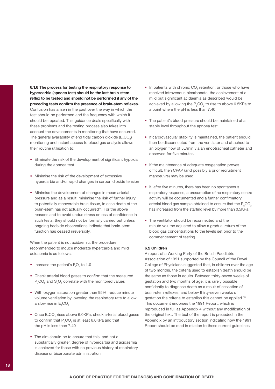**6.1.6 The process for testing the respiratory response to hypercarbia (apnoea test) should be the last brain-stem reflex to be tested and should not be performed if any of the preceding tests confirm the presence of brain-stem reflexes.**  Confusion has arisen in the past over the way in which the test should be performed and the frequency with which it should be repeated. This guidance deals specifically with these problems and the testing process also takes into account the developments in monitoring that have occurred. The general availability of end tidal carbon dioxide ( $\mathsf{E}_{\mathsf{T}}\mathsf{CO}_{2}$ ) monitoring and instant access to blood gas analysis allows their routine utilisation to:

- Eliminate the risk of the development of significant hypoxia during the apnoea test
- Minimise the risk of the development of excessive hypercarbia and/or rapid changes in carbon dioxide tension
- Minimise the development of changes in mean arterial pressure and as a result, minimise the risk of further injury to potentially recoverable brain tissue, in case death of the brain-stem has not actually occurred<sup>14</sup>. For the above reasons and to avoid undue stress or loss of confidence in such tests, they should not be formally carried out unless ongoing bedside observations indicate that brain-stem function has ceased irreversibly.

When the patient is not acidaemic, the procedure recommended to induce moderate hypercarbia and mild acidaemia is as follows:

- Increase the patient's  $F_1O_2$  to 1.0
- Check arterial blood gases to confirm that the measured  $\mathsf{P}_\mathsf{a}\mathsf{CO}_2$  and  $\mathsf{S}_\mathsf{a}\mathsf{O}_2$  correlate with the monitored values
- With oxygen saturation greater than 95%, reduce minute volume ventilation by lowering the respiratory rate to allow a slow rise in  $E<sub>r</sub>CO<sub>2</sub>$
- Once  $E_TCO_2$  rises above 6.0KPa, check arterial blood gases to confirm that  $\mathsf{P}_\mathsf{a}\mathsf{CO}_2$  is at least 6.0KPa and that the pH is less than 7.40
- The aim should be to ensure that this, and not a substantially greater, degree of hypercarbia and acidaemia is achieved for those with no previous history of respiratory disease or bicarbonate administration
- $\bullet$  In patients with chronic CO<sub>2</sub> retention, or those who have received intravenous bicarbonate, the achievement of a mild but significant acidaemia as described would be achieved by allowing the  $P_{\text{a}}\text{CO}_{\text{2}}$  to rise to above 6.5KPa to a point where the pH is less than 7.40
- The patient's blood pressure should be maintained at a stable level throughout the apnoea test
- If cardiovascular stability is maintained, the patient should then be disconnected from the ventilator and attached to an oxygen flow of 5L/min via an endotracheal catheter and observed for five minutes
- If the maintenance of adequate oxygenation proves difficult, then CPAP (and possibly a prior recruitment manoeuvre) may be used
- If, after five minutes, there has been no spontaneous respiratory response, a presumption of no respiratory centre activity will be documented and a further confirmatory arterial blood gas sample obtained to ensure that the  $\mathsf{P}_{\mathsf{a}}\mathsf{CO}_{\mathsf{z}}$ has increased from the starting level by more than 0.5KPa
- The ventilator should be reconnected and the minute volume adjusted to allow a gradual return of the blood gas concentrations to the levels set prior to the commencement of testing.

#### **6.2 Children**

A report of a Working Party of the British Paediatric Association of 1991 supported by the Council of the Royal College of Physicians suggested that, in children over the age of two months, the criteria used to establish death should be the same as those in adults. Between thirty-seven weeks of gestation and two months of age, it is rarely possible confidently to diagnose death as a result of cessation of brain-stem reflexes, and below thirty-seven weeks of gestation the criteria to establish this cannot be applied.15 This document endorses the 1991 Report, which is reproduced in full as Appendix 4 without any modification of the original text. The text of the report is preceded in the Appendix by an introductory section indicating how the 1991 Report should be read in relation to these current guidelines.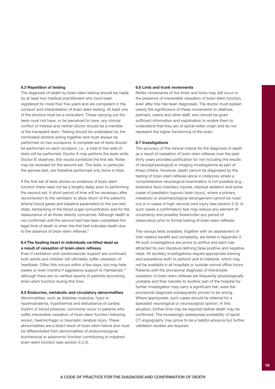#### **6.3 Repetition of testing**

The diagnosis of death by brain-stem testing should be made by at least two medical practitioners who have been registered for more than five years and are competent in the conduct and interpretation of brain-stem testing. At least one of the doctors must be a consultant. Those carrying out the tests must not have, or be perceived to have, any clinical conflict of interest and neither doctor should be a member of the transplant team. Testing should be undertaken by the nominated doctors acting together and must always be performed on two occasions. A complete set of tests should be performed on each occasion, i.e., a total of two sets of tests will be performed. Doctor A may perform the tests while Doctor B observes; this would constitute the first set. Roles may be reversed for the second set. The tests, in particular the apnoea test, are therefore performed only twice in total.

If the first set of tests shows no evidence of brain-stem function there need not be a lengthy delay prior to performing the second set. A short period of time will be necessary after reconnection to the ventilator to allow return of the patient's arterial blood gases and baseline parameters to the pre-test state, rechecking of the blood sugar concentration and for the reassurance of all those directly concerned. Although death is not confirmed until the second test has been completed the legal time of death is when the first test indicates death due to the absence of brain-stem reflexes.<sup>9</sup>

#### **6.4 The beating heart in individuals certified dead as a result of cessation of brain-stem reflexes**

Even if ventilation and cardiovascular support are continued, both adults and children will ultimately suffer cessation of heartbeat. Often this occurs within a few days, but may take weeks or even months if aggressive support is maintained,<sup>13</sup> although there are no verified reports of patients recovering brain-stem function during this time.

#### **6.5 Endocrine, metabolic and circulatory abnormalities**

Abnormalities, such as diabetes insipidus, hypo or hypernatraemia, hypothermia and disturbance of cardiac rhythm or blood pressure, commonly occur in patients who suffer irreversible cessation of brain-stem function following anoxic, haemorrhagic or traumatic cerebral injury. These abnormalities are a direct result of brain-stem failure and must be differentiated from abnormalities of endocrinological, biochemical or autonomic function contributing to impaired brain-stem function (see section 5.2.3).

#### **6.6 Limb and trunk movements**

Reflex movements of the limbs and torso may still occur in the presence of irreversible cessation of brain-stem function, even after this has been diagnosed. The doctor must explain clearly the significance of these movements to relatives, partners, carers and other staff, who should be given sufficient information and explanation to enable them to understand that they are of spinal-reflex origin and do not represent the higher functioning of the brain.

#### **6.7 Investigations**

The accuracy of the clinical criteria for the diagnosis of death as a result of cessation of brain-stem reflexes over the past thirty years provides justification for not including the results of neurophysiological or imaging investigations as part of these criteria. However, death cannot be diagnosed by the testing of brain-stem reflexes alone in instances where a comprehensive neurological examination is not possible (e.g., extensive facio-maxillary injuries, residual sedation and some cases of paediatric hypoxic brain injury), where a primary metabolic or pharmacological derangement cannot be ruled out or in cases of high cervical cord injury (see section 5.3). In such cases a confirmatory test may reduce any element of uncertainty and possibly foreshorten any period of observation prior to formal testing of brain-stem reflexes.

The various tests available, together with an assessment of their relative benefit and complexity, are listed in Appendix 3. All such investigations are prone to artifice and each has attracted its own literature defining false positive and negative rates. All ancillary investigations require appropriate training and experience both to perform and to interpret, which may not be available in all hospitals or outside normal office hours. Patients with the provisional diagnosis of irreversible cessation of brain-stem reflexes are frequently physiologically unstable and their transfer to another part of the hospital for further investigation may carry a significant risk, were the provisional diagnosis subsequently proven to be wrong. Where appropriate, such cases should be referred for a specialist neurological or neurosurgical opinion. In this situation, further time may be required before death may be confirmed. The increasingly widespread availability of spiral CT angiography may prove to be a helpful advance but further validation studies are required.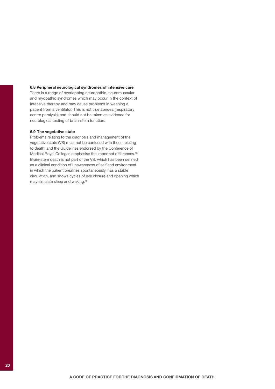#### **6.8 Peripheral neurological syndromes of intensive care**

There is a range of overlapping neuropathic, neuromuscular and myopathic syndromes which may occur in the context of intensive therapy and may cause problems in weaning a patient from a ventilator. This is not true apnoea (respiratory centre paralysis) and should not be taken as evidence for neurological testing of brain-stem function.

#### **6.9 The vegetative state**

Problems relating to the diagnosis and management of the vegetative state (VS) must not be confused with those relating to death, and the Guidelines endorsed by the Conference of Medical Royal Colleges emphasise the important differences.16 Brain-stem death is not part of the VS, which has been defined as a clinical condition of unawareness of self and environment in which the patient breathes spontaneously, has a stable circulation, and shows cycles of eye closure and opening which may simulate sleep and waking.16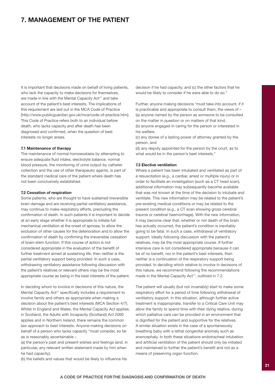### 7. MANAGEMENT OF THE PATIENT

It is important that decisions made on behalf of living patients, who lack the capacity to make decisions for themselves, are made in line with the Mental Capacity Act<sup>17</sup> and take account of the patient's best interests. The implications of this requirement are laid out in the MCA Code of Practice [http://www.publicguardian.gov.uk/mca/code-of-practice.htm]. This Code of Practice refers both to an individual before death, who lacks capacity and after death has been diagnosed and confirmed, when the question of best interests no longer arises.

#### **7.1 Maintenance of therapy**

The maintenance of normal homoeostasis by attempting to ensure adequate fluid intake, electrolyte balance, normal blood pressure, the monitoring of urine output by catheter collection and the use of other therapeutic agents, is part of the standard medical care of the patient where death has not been conclusively established.

#### **7.2 Cessation of respiration**

Some patients, who are thought to have sustained irreversible brain damage and are receiving partial ventilatory assistance, may continue to make respiratory efforts, precluding the confirmation of death. In such patients it is important to decide at an early stage whether it is appropriate to initiate full mechanical ventilation at the onset of apnoea, to allow the exclusion of other causes for the deterioration and to allow the confirmation of death by confirming the irreversible cessation of brain-stem function. If this course of action is not considered appropriate in the evaluation of the benefit of further treatment aimed at sustaining life, then neither is the partial ventilatory support being provided. In such a case, withdrawing ventilatory assistance following discussion with the patient's relatives or relevant others may be the most appropriate course as being in the best interests of the patient.

In deciding whom to involve in decisions of this nature, the Mental Capacity Act<sup>17</sup> specifically includes a requirement to involve family and others as appropriate when making a decision about the patient's best interests (MCA Section 4/7). Whilst In England and Wales, the Mental Capacity Act applies, in Scotland, the Adults with Incapacity (Scotland) Act 2000 applies and in Northern Ireland, there remains the common law approach to best interests. Anyone making decisions on behalf of a person who lacks capacity "must consider, so far as is reasonably ascertainable –

(a) the person's past and present wishes and feelings (and, in particular, any relevant written statement made by him when he had capacity),

(b) the beliefs and values that would be likely to influence his

decision if he had capacity, and (c) the other factors that he would be likely to consider if he were able to do so."

Further, anyone making decisions "must take into account, if it is practicable and appropriate to consult them, the views of – (a) anyone named by the person as someone to be consulted on the matter in question or on matters of that kind, (b) anyone engaged in caring for the person or interested in his welfare,

(c) any donee of a lasting power of attorney granted by the person, and

(d) any deputy appointed for the person by the court, as to what would be in the person's best interests."

#### **7.3 Elective ventilation**

Where a patient has been intubated and ventilated as part of a resuscitation (e.g., a cardiac arrest or multiple injury) or in order to facilitate an investigation (such as a CT head scan), additional information may subsequently become available that was not known at the time of the decision to intubate and ventilate. This new information may be related to the patient's pre-existing medical conditions or may be related to the present condition (e.g., a CT scan showing gross cerebral trauma or cerebral haemorrhage). With the new information, it may become clear that, whether or not death of the brain has actually occurred, the patient's condition is inevitably going to be fatal. In such a case, withdrawal of ventilatory support, ideally following discussion with the patient's relatives, may be the most appropriate course. If further intensive care is not considered appropriate because it can be of no benefit, nor in the patient's best interests, then neither is a continuation of the respiratory support being provided. In deciding which relative to involve in decisions of this nature, we recommend following the recommendations made in the Mental Capacity Act<sup>17</sup>, outlined in 7.2.

The patient will usually (but not invariably) start to make some respiratory effort for a period of time following withdrawal of ventilatory support. In this situation, although further active treatment is inappropriate, transfer to a Critical Care Unit may allow the family to spend time with their dying relative, during which palliative care can be provided in an environment that is dignified for the patient and supportive for the relatives. A similar situation exists in the case of a spontaneously breathing baby with a lethal congenital anomaly such as anencephaly. In both these situations endotracheal intubation and artificial ventilation of the patient should only be initiated and maintained to further the patient's benefit and not as a means of preserving organ function.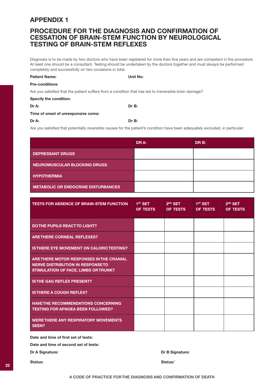### APPENDIX 1

### Procedure for the diagnosis and confirmation of cessation of brain-stem function by neurological testing of brain-stem reflexes

Diagnosis is to be made by two doctors who have been registered for more than five years and are competent in the procedure. At least one should be a consultant. Testing should be undertaken by the doctors together and must always be performed completely and successfully on two occasions in total.

#### **Patient Name: Unit No:**

#### **Pre-conditions**

Are you satisfied that the patient suffers from a condition that has led to irreversible brain damage?

#### **Specify the condition:**

**Dr A: Dr B:**

#### **Time of onset of unresponsive coma:**

**Dr A: Dr B:**

Are you satisfied that potentially reversible causes for the patient's condition have been adequately excluded, in particular:

|                                            | DR A: | DR B: |
|--------------------------------------------|-------|-------|
| <b>DEPRESSANT DRUGS</b>                    |       |       |
| <b>NEUROMUSCULAR BLOCKING DRUGS</b>        |       |       |
| <b>HYPOTHERMIA</b>                         |       |       |
| <b>METABOLIC OR ENDOCRINE DISTURBANCES</b> |       |       |

| <b>TESTS FOR ABSENCE OF BRAIN-STEM FUNCTION</b>                                                                                  | $1ST$ SET<br><b>OF TESTS</b> | $2ND$ SET<br><b>OF TESTS</b> | $1ST$ SET<br><b>OF TESTS</b> | $2ND$ SET<br><b>OF TESTS</b> |
|----------------------------------------------------------------------------------------------------------------------------------|------------------------------|------------------------------|------------------------------|------------------------------|
| <b>DOTHE PUPILS REACTTO LIGHT?</b>                                                                                               |                              |                              |                              |                              |
| <b>ARETHERE CORNEAL REFLEXES?</b>                                                                                                |                              |                              |                              |                              |
| <b>ISTHERE EYE MOVEMENT ON CALORIC TESTING?</b>                                                                                  |                              |                              |                              |                              |
| ARETHERE MOTOR RESPONSES IN THE CRANIAL<br><b>NERVE DISTRIBUTION IN RESPONSETO</b><br><b>STIMULATION OF FACE, LIMBS ORTRUNK?</b> |                              |                              |                              |                              |
| <b>ISTHE GAG REFLEX PRESENT?</b>                                                                                                 |                              |                              |                              |                              |
| <b>ISTHERE A COUGH REFLEX?</b>                                                                                                   |                              |                              |                              |                              |
| <b>HAVETHE RECOMMENDATIONS CONCERNING</b><br><b>TESTING FOR APNOEA BEEN FOLLOWED?</b>                                            |                              |                              |                              |                              |
| <b>WERETHERE ANY RESPIRATORY MOVEMENTS</b><br><b>SEEN?</b>                                                                       |                              |                              |                              |                              |

**Date and time of first set of tests:**

**Date and time of second set of tests:**

**Dr A Signature: Dr B Signature: Dr B Signature:** 

**Status: Status:`**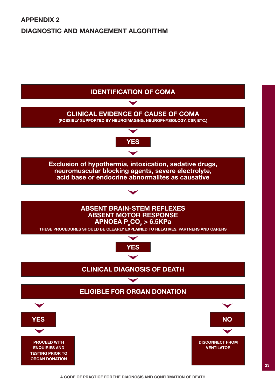# APPENDIX 2 Diagnostic and management algorithm

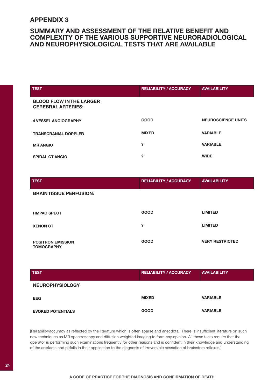### APPENDIX 3

### Summary and assessment of the relative benefit and complexity of the various supportive neuroradiological and neurophysiological tests that are available

| <b>TEST</b>                                                  | <b>RELIABILITY / ACCURACY</b> | <b>AVAILABILITY</b>       |
|--------------------------------------------------------------|-------------------------------|---------------------------|
| <b>BLOOD FLOW IN THE LARGER</b><br><b>CEREBRAL ARTERIES:</b> |                               |                           |
| <b>4 VESSEL ANGIOGRAPHY</b>                                  | <b>GOOD</b>                   | <b>NEUROSCIENCE UNITS</b> |
| <b>TRANSCRANIAL DOPPLER</b>                                  | <b>MIXED</b>                  | <b>VARIABLE</b>           |
| <b>MR ANGIO</b>                                              | ?                             | <b>VARIABLE</b>           |
| <b>SPIRAL CT ANGIO</b>                                       | ?                             | <b>WIDE</b>               |

| <b>TEST</b>                                   | <b>RELIABILITY / ACCURACY</b> | <b>AVAILABILITY</b>    |
|-----------------------------------------------|-------------------------------|------------------------|
| <b>BRAINTISSUE PERFUSION:</b>                 |                               |                        |
| <b>HMPAO SPECT</b>                            | <b>GOOD</b>                   | <b>LIMITED</b>         |
| <b>XENON CT</b>                               | ?                             | <b>LIMITED</b>         |
| <b>POSITRON EMISSION</b><br><b>TOMOGRAPHY</b> | <b>GOOD</b>                   | <b>VERY RESTRICTED</b> |

| <b>TEST</b>              | <b>RELIABILITY / ACCURACY</b> | <b>AVAILABILITY</b> |
|--------------------------|-------------------------------|---------------------|
| <b>NEUROPHYSIOLOGY</b>   |                               |                     |
| <b>EEG</b>               | <b>MIXED</b>                  | <b>VARIABLE</b>     |
| <b>EVOKED POTENTIALS</b> | <b>GOOD</b>                   | <b>VARIABLE</b>     |

[Reliability/accuracy as reflected by the literature which is often sparse and anecdotal. There is insufficient literature on such new techniques as MR spectroscopy and diffusion weighted imaging to form any opinion. All these tests require that the operator is performing such examinations frequently for other reasons and is confident in their knowledge and understanding of the artefacts and pitfalls in their application to the diagnosis of irreversible cessation of brainstem reflexes.]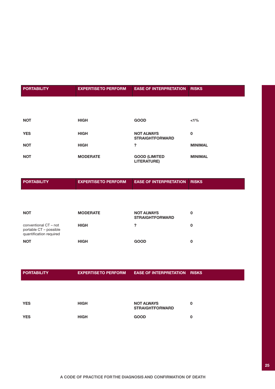| <b>PORTABILITY</b> | <b>EXPERTISETO PERFORM</b> | <b>EASE OF INTERPRETATION</b>              | <b>RISKS</b>   |
|--------------------|----------------------------|--------------------------------------------|----------------|
|                    |                            |                                            |                |
|                    |                            |                                            |                |
| <b>NOT</b>         | <b>HIGH</b>                | <b>GOOD</b>                                | $1\%$          |
| <b>YES</b>         | <b>HIGH</b>                | <b>NOT ALWAYS</b>                          | 0              |
|                    |                            | <b>STRAIGHTFORWARD</b>                     |                |
| <b>NOT</b>         | <b>HIGH</b>                | ?                                          | <b>MINIMAL</b> |
| <b>NOT</b>         | <b>MODERATE</b>            | <b>GOOD (LIMITED</b><br><b>LITERATURE)</b> | <b>MINIMAL</b> |

| <b>PORTABILITY</b>                                                         | <b>EXPERTISETO PERFORM</b> | <b>EASE OF INTERPRETATION</b>               | <b>RISKS</b> |
|----------------------------------------------------------------------------|----------------------------|---------------------------------------------|--------------|
|                                                                            |                            |                                             |              |
|                                                                            |                            |                                             |              |
| <b>NOT</b>                                                                 | <b>MODERATE</b>            | <b>NOT ALWAYS</b><br><b>STRAIGHTFORWARD</b> | $\mathbf 0$  |
| conventional CT - not<br>portable CT - possible<br>quantification required | <b>HIGH</b>                | ?                                           | $\mathbf 0$  |
| <b>NOT</b>                                                                 | <b>HIGH</b>                | <b>GOOD</b>                                 | 0            |

| <b>PORTABILITY</b> | <b>EXPERTISE TO PERFORM</b> | <b>EASE OF INTERPRETATION RISKS</b>         |   |
|--------------------|-----------------------------|---------------------------------------------|---|
|                    |                             |                                             |   |
|                    |                             |                                             |   |
| <b>YES</b>         | <b>HIGH</b>                 | <b>NOT ALWAYS</b><br><b>STRAIGHTFORWARD</b> | 0 |
| <b>YES</b>         | <b>HIGH</b>                 | <b>GOOD</b>                                 | 0 |
|                    |                             |                                             |   |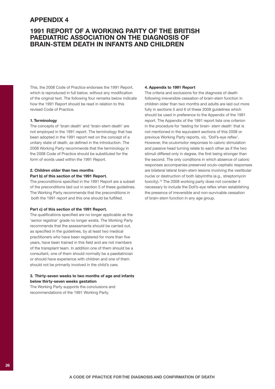### APPENDIX 4

### 1991 Report of a Working Party of the British Paediatric Association on the diagnosis of brain-stem death in infants and children

This, the 2008 Code of Practice endorses the 1991 Report, which is reproduced in full below, without any modification of the original text. The following four remarks below indicate how the 1991 Report should be read in relation to this revised Code of Practice.

#### **1. Terminology**

The concepts of 'brain death' and 'brain-stem death' are not employed in the 1991 report. The terminology that has been adopted in the 1991 report rest on the concept of a unitary state of death, as defined in the introduction. The 2008 Working Party recommends that the terminology in the 2008 Code of Practice should be substituted for the form of words used within the 1991 Report.

#### **2. Children older than two months Part b) of this section of the 1991 Report.**

The preconditions specified in the 1991 Report are a subset of the preconditions laid out in section 5 of these guidelines. The Working Party recommends that the preconditions in both the 1991 report and this one should be fulfilled.

#### **Part c) of this section of the 1991 Report.**

The qualifications specified are no longer applicable as the 'senior registrar' grade no longer exists. The Working Party recommends that the assessments should be carried out, as specified in the guidelines, by at least two medical practitioners who have been registered for more than five years, have been trained in this field and are not members of the transplant team. In addition one of them should be a consultant, one of them should normally be a paediatrician or should have experience with children and one of them should not be primarily involved in the child's care.

#### **3. Thirty-seven weeks to two months of age and infants below thirty-seven weeks gestation**

The Working Party supports the conclusions and recommendations of the 1991 Working Party.

#### **4. Appendix to 1991 Report**

The criteria and exclusions for the diagnosis of death following irreversible cessation of brain-stem function in children older than two months and adults are laid out more fully in sections 5 and 6 of these 2008 guidelines which should be used in preference to the Appendix of the 1991 report. The Appendix of the 1991 report lists one criterion in the procedure for 'testing for brain- stem death' that is not mentioned in the equivalent sections of this 2008 or previous Working Party reports, viz, 'Doll's-eye reflex'. However, the oculomotor responses to caloric stimulation and passive head turning relate to each other as if the two stimuli differed only in degree, the first being stronger than the second. The only conditions in which absence of caloric responses accompanies preserved oculo-cephalic responses are bilateral lateral brain-stem lesions involving the vestibular nuclei or destruction of both labyrinths (e.g., streptomycin toxicity).18 The 2008 working party does not consider it necessary to include the Doll's-eye reflex when establishing the presence of irreversible and non-survivable cessation of brain-stem function in any age group.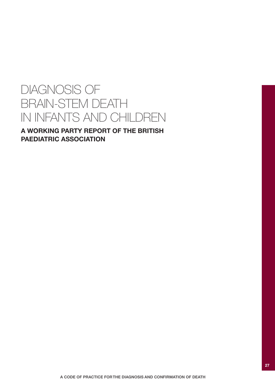# DIAGNOSIS OF Brain-stem Death In Infants and Children

A Working Party Report of the British Paediatric Association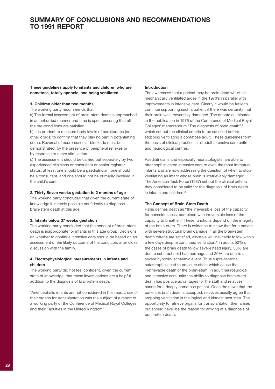### SUMMARY OF CONCLUSIONS AND RECOMMENDATIONS TO 1991 REPORT

**These guidelines apply to infants and children who are comatose, totally apnoeic, and being ventilated.**

#### **1. Children older than two months.**

The working party recommends that:

a) The formal assessment of brain-stem death is approached in an unhurried manner and time is spent ensuring that all the pre-conditions are satisfied.

b) It is prudent to measure body levels of barbiturates (or other drugs) to confirm that they play no part in potentiating coma. Reversal of neuromuscular blockade must be demonstrated, by the presence of peripheral reflexes or by response to nerve stimulation.

c) The assessment should be carried out separately by two experienced clinicians or consultant or senior registrar status; at least one should be a paediatrician, one should be a consultant, and one should not be primarily involved in the child's care.

#### **2. Thirty Seven weeks gestation to 2 months of age**

The working party concluded that given the current state of knowledge it is rarely possible confidently to diagnose brain-stem death at this age.

#### **3. Infants below 37 weeks gestation**

The working party concluded that the concept of brain-stem death is inappropriate for infants in this age group. Decisions on whether to continue intensive care should be based on an assessment of the likely outcome of the condition, after close discussion with the family.

#### **4. Electrophysiological measurements in infants and children**

The working party did not feel confident, given the current state of knowledge, that these investigations are a helpful addition to the diagnosis of brain-stem death.

\*Anencephalic infants are not considered in this report; use of their organs for transplantation was the subject of a report of a working party of the Conference of Medical Royal Colleges and their Faculties in the United Kingdom<sup>1</sup>

#### **Introduction**

The awareness that a patient may be brain dead whilst still mechanically ventilated arose in the 1970's in parallel with improvements in intensive care. Clearly it would be futile to continue supporting such a patient if there was certainty that their brain was irreversibly damaged. The debate culminated in the publication in 1976 of the Conference of Medical Royal Colleges' memorandum "The diagnosis of brain death",2 which set out the clinical criteria to be satisfied before stopping ventilating a comatose adult. These guidelines form the basis of clinical practice in all adult intensive care units and neurological centres.

Paediatricians and especially neonatologists, are able to offer sophisticated intensive care to even the most immature infants and are now addressing the question of when to stop ventilating an infant whose brain is irretrievably damaged. The American Task Force (1987) set out the clinical criteria they considered to be valid for the diagnosis of brain death in infants and children.3

#### **The Concept of Brain-Stem Death**

Pallis defines death as "the irreversible loss of the capacity for consciousness, combined with irreversible loss of the capacity to breathe".<sup>4</sup> These functions depend on the integrity of the brain-stem. There is evidence to show that for a patient with severe structural brain damage, if all the brain-stem death criteria are satisfied, asystole will inevitably follow within a few days despite continued ventilation.<sup>5</sup> In adults 50% of the cases of brain death follow severe head injury, 30% are due to subarachnoid haemorrhage and 20% are due to a severe hypoxic-ischaemic event. Thus supra-tentorial catastrophes lead to pressure effect which cause the irretrievable death of the brain-stem. In adult neurosurgical and intensive care units the ability to diagnose brain-stem death has positive advantages for the staff and relatives caring for a deeply comatose patient. Once the news that the patient is brain dead is accepted, relatives usually agree that stopping ventilation is the logical and kindest next step. The opportunity to retrieve organs for transplantation then arises but should never be the reason for arriving at a diagnosis of brain-stem death.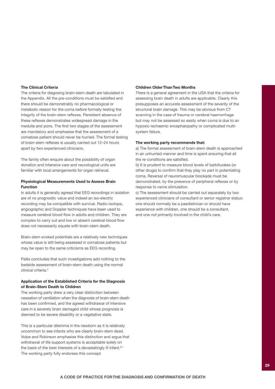#### **The Clinical Criteria**

The criteria for diagosing brain-stem death are tabulated in the Appendix. All the pre-conditions must be satisfied and there should be demonstrably no pharmacological or metabolic reason for the coma before formally testing the integrity of the brain-stem reflexes. Persistent absence of these reflexes demonstrates widespread damage in the medulla and pons. The first two stages of the assessment are mandatory and emphasise that the assessment of a comatose patient should never be hurried. The formal testing of brain-stem reflexes is usually carried out 12–24 hours apart by two experienced clinicians.

The family often enquire about the possibility of organ donation and intensive care and neurological units are familiar with local arrangements for organ retrieval.

#### **Physiological Measurements Used to Assess Brain Function**

In adults it is generally agreed that EEG recordings in isolation are of no prognostic value and indeed an iso-electric recording may be compatible with survival. Radio-isotope, angiographic and Doppler techniques have been used to measure cerebral blood flow in adults and children. They are complex to carry out and low or absent cerebral blood flow does not necessarily equate with brain-stem death.

Brain-stem evoked potentials are a relatively new techniques whose value is still being assessed in comatose patients but may be open to the same criticisms as EEG recording.

Pallis concludes that such investigations add nothing to the bedside assessment of brain-stem death using the normal clinical criteria.4

#### **Application of the Established Criteria for the Diagnosis of Brain-Stem Death to Children**

The working party drew a very clear distinction between cessation of ventilation when the diagnosis of brain-stem death has been confirmed, and the agreed withdrawal of intensive care in a severely brain damaged child whose prognosis is deemed to be severe disability or a vegetative state.

This is a particular dilemma in the newborn as it is relatively uncommon to see infants who are clearly brain-stem dead. Volpe and Robinson emphasise this distinction and argue that withdrawal of life support systems is acceptable solely on the basis of the best interests of a devastatingly ill infant.<sup>6,7</sup> The working party fully endorses this concept.

#### **Children Older Than Two Months**

There is a general agreement in the USA that the criteria for assessing brain death in adults are applicable. Clearly this presupposes an accurate assessment of the severity of the structural brain damage. This may be obvious from CT scanning in the case of trauma or cerebral haemorrhage but may not be assessed so easily when coma is due to an hypoxic-ischaemic encephalopathy or complicated multisystem failure.

#### **The working party recommends that:**

a) The formal assessment of brain-stem death is approached in an unhurried manner and time is spent ensuring that all the re-conditions are satisfied.

b) It is prudent to measure blood levels of barbiturates (or other drugs) to confirm that they play no part in potentiating coma. Reversal of neuromuscular blockade must be demonstrated, by the presence of peripheral reflexes or by response to nerve stimulation.

c) The assessment should be carried out separately by two experienced clinicians of consultant or senior registrar status: one should normally be a paediatrician or should have experience with children, one should be a consultant, and one not primarily involved in the child's care.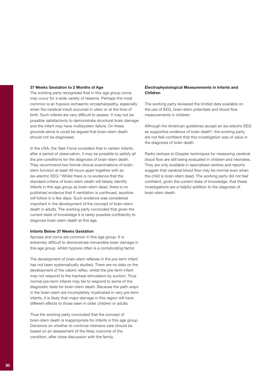#### **37 Weeks Gestation to 2 Months of Age**

The working party recognised that in this age group coma may occur for a wide variety of reasons. Perhaps the most common is an hypoxic-ischaemic encephalopathy, especially when the cerebral insult occurred in utero or at the time of birth. Such infants are very difficult to assess. It may not be possible satisfactorily to demonstrate structural brain damage and the infant may have multisystem failure. On these grounds alone is could be argued that brain-stem death should not be diagnosed.

In the USA, the Task Force considers that in certain infants after a period of observation, it may be possible to satisfy all the pre-conditions for the diagnosis of brain-stem death. They recommend two formal clinical examinations of brainstem function at least 48 hours apart together with an iso-electric EEG.3 Whilst there is no evidence that the standard criteria of brain-stem death will falsely identify infants in this age group as brain-stem dead, there is no published evidence that if ventilation is continued, asystole will follow in a few days. Such evidence was considered important in the development of the concept of brain-stem death in adults. The working party concluded that given the current state of knowledge it is rarely possible confidently to diagnose brain-stem death at this age.

#### **Infants Below 37 Weeks Gestation**

Apnoea and coma are common in this age group. It is extremely difficult to demonstrate irreversible brain damage in this age group, whilst hypoxia often is a complicating factor.

The development of brain-stem reflexes in the pre-term infant has not been systematically studied. There are no data on the development of the caloric reflex, whilst the pre-term infant may not respond to the tracheal stimulation by suction. Thus normal pre-term infants may fail to respond to some of the diagnostic tests for brain-stem death. Because the path-ways in the brain-stem are incompletely myelinated in very pre-term infants, it is likely that major damage in this region will have different effects to those seen in older children or adults.

Thus the working party concluded that the concept of brain-stem death is inappropriate for infants in this age group. Decisions on whether to continue intensive care should be based on an assessment of the likely outcome of the condition, after close discussion with the family.

#### **Electrophysiological Measurements in Infants and Children**

The working party reviewed the limited data available on the use of EEG, brain-stem potentials and blood flow measurements in children.

Although the American guidelines accept an iso-electric EEG as supportive evidence of brain death<sup>3</sup>, the working party did not feel confident that this investigation was of value in the diagnosis of brain death.

Radio-isotope or Doppler techniques for measuring cerebral blood flow are still being evaluated in children and neonates. They are only available in specialised centres and reports suggest that cerebral blood flow may be normal even when the child is brain-stem dead. The working party did not feel confident, given the current state of knowledge, that these investigations are a helpful addition to the diagnosis of brain-stem death.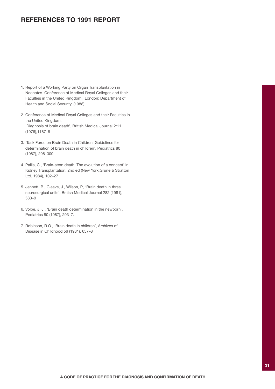### REFERENCES to 1991 report

- 1. Report of a Working Party on Organ Transplantation in Neonates. Conference of Medical Royal Colleges and their Faculties in the United Kingdom. London: Department of Health and Social Security, (1988).
- 2. Conference of Medical Royal Colleges and their Faculties in the United Kingdom, 'Diagnosis of brain death', British Medical Journal 2:11 (1976),1187–8
- 3. 'Task Force on Brain Death in Children: Guidelines for determination of brain death in children', Pediatrics 80 (1987), 298–300.
- 4. Pallis, C., 'Brain-stem death: The evolution of a concept' in: Kidney Transplantation, 2nd ed (New York:Grune & Stratton Ltd, 1984), 102–27
- 5. Jennett, B., Gleave, J., Wilson, P., 'Brain death in three neurosurgical units', British Medical Journal 282 (1981), 533–9
- 6. Volpe, J. J., 'Brain death determination in the newborn', Pediatrics 80 (1987), 293–7.
- 7. Robinson, R.O., 'Brain death in children', Archives of Disease in Childhood 56 (1981), 657–8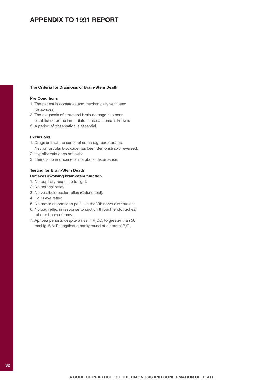### Appendix to 1991 report

#### **The Criteria for Diagnosis of Brain-Stem Death**

#### **Pre Conditions**

- 1. The patient is comatose and mechanically ventilated for apnoea.
- 2. The diagnosis of structural brain damage has been established or the immediate cause of coma is known.
- 3. A period of observation is essential.

#### **Exclusions**

- 1. Drugs are not the cause of coma e.g. barbiturates. Neuromuscular blockade has been demonstrably reversed.
- 2. Hypothermia does not exist.
- 3. There is no endocrine or metabolic disturbance.

#### **Testing for Brain-Stem Death Reflexes involving brain-stem function.**

- 1. No pupillary response to light.
- 2. No corneal reflex.
- 3. No vestibulo ocular reflex (Caloric test).
- 4. Doll's eye reflex
- 5. No motor response to pain in the Vth nerve distribution.
- 6. No gag reflex in response to suction through endotracheal tube or tracheostomy.
- 7. Apnoea persists despite a rise in  $P_aCO_2$  to greater than 50 mmHg (6.6kPa) against a background of a normal  $\mathsf{P}_{_{\text{a}}} \mathsf{O}_{_{\text{2}}}$ .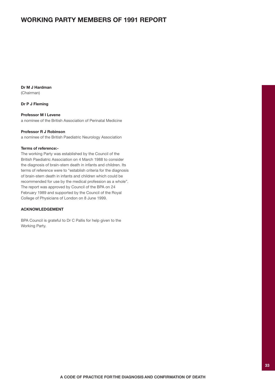### WORKING PARTY MEMBERS of 1991 report

**Dr M J Hardman** 

(Chairman)

#### **Dr P J Fleming**

#### **Professor M I Levene**

a nominee of the British Association of Perinatal Medicine

#### **Professor R J Robinson**

a nominee of the British Paediatric Neurology Association

#### **Terms of reference:-**

The working Party was established by the Council of the British Paediatric Association on 4 March 1988 to consider the diagnosis of brain-stem death in infants and children. Its terms of reference were to "establish criteria for the diagnosis of brain-stem death in infants and children which could be recommended for use by the medical profession as a whole". The report was approved by Council of the BPA on 24 February 1989 and supported by the Council of the Royal College of Physicians of London on 8 June 1999.

#### **ACKNOWLEDGEMENT**

BPA Council is grateful to Dr C Pallis for help given to the Working Party.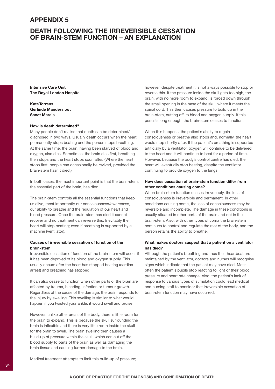### APPENDIX 5

### Death following the irreversible cessation of brain-stem function – an explanation

**Intensive Care Unit The Royal London Hospital**

**Kate Torrens Gerlinde Mandersloot Sanet Marais**

#### **How is death determined?**

Many people don't realise that death can be determined/ diagnosed in two ways. Usually death occurs when the heart permanently stops beating and the person stops breathing. At the same time, the brain, having been starved of blood and oxygen, also dies. Sometimes, the brain dies first, breathing then stops and the heart stops soon after. (Where the heart stops first, people can occasionally be revived, provided the brain-stem hasn't died.)

In both cases, the most important point is that the brain-stem, the essential part of the brain, has died.

The brain-stem controls all the essential functions that keep us alive, most importantly our consciousness/awareness, our ability to breathe and the regulation of our heart and blood pressure. Once the brain-stem has died it cannot recover and no treatment can reverse this. Inevitably the heart will stop beating; even if breathing is supported by a machine (ventilator).

#### **Causes of irreversible cessation of function of the brain-stem**

Irreversible cessation of function of the brain-stem will occur if it has been deprived of its blood and oxygen supply. This usually occurs after the heart has stopped beating (cardiac arrest) and breathing has stopped.

It can also cease to function when other parts of the brain are affected by trauma, bleeding, infection or tumour growth. Regardless of the cause of the damage, the brain responds to the injury by swelling. This swelling is similar to what would happen if you twisted your ankle; it would swell and bruise.

However, unlike other areas of the body, there is little room for the brain to expand. This is because the skull surrounding the brain is inflexible and there is very little room inside the skull for the brain to swell. The brain swelling then causes a build-up of pressure within the skull, which can cut off the blood supply to parts of the brain as well as damaging the brain tissue and causing further damage to the brain.

however, despite treatment it is not always possible to stop or reverse this. If the pressure inside the skull gets too high, the brain, with no more room to expand, is forced down through the small opening in the base of the skull where it meets the spinal cord. This then causes pressure to build up in the brain-stem, cutting off its blood and oxygen supply. If this persists long enough, the brain-stem ceases to function.

When this happens, the patient's ability to regain consciousness or breathe also stops and, normally, the heart would stop shortly after. If the patient's breathing is supported artificially by a ventilator, oxygen will continue to be delivered to the heart and it will continue to beat for a period of time. However, because the body's control centre has died, the heart will eventually stop beating, despite the ventilator continuing to provide oxygen to the lungs.

#### **How does cessation of brain-stem function differ from other conditions causing coma?**

When brain-stem function ceases irrevocably, the loss of consciousness is irreversible and permanent. In other conditions causing coma, the loss of consciousness may be reversible and incomplete. The damage in these conditions is usually situated in other parts of the brain and not in the brain-stem. Also, with other types of coma the brain-stem continues to control and regulate the rest of the body, and the person retains the ability to breathe.

#### **What makes doctors suspect that a patient on a ventilator has died?**

Although the patient's breathing and thus their heartbeat are maintained by the ventilator, doctors and nurses will recognise signs which indicate that the patient may have died. Most often the patient's pupils stop reacting to light or their blood pressure and heart rate change. Also, the patient's lack of response to various types of stimulation could lead medical and nursing staff to consider that irreversible cessation of brain-stem function may have occurred.

Medical treatment attempts to limit this build-up of pressure;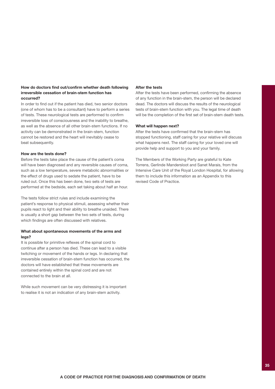#### **How do doctors find out/confirm whether death following irreversible cessation of brain-stem function has occurred?**

In order to find out if the patient has died, two senior doctors (one of whom has to be a consultant) have to perform a series of tests. These neurological tests are performed to confirm irreversible loss of consciousness and the inability to breathe, as well as the absence of all other brain-stem functions. If no activity can be demonstrated in the brain-stem, function cannot be restored and the heart will inevitably cease to beat subsequently.

#### **How are the tests done?**

Before the tests take place the cause of the patient's coma will have been diagnosed and any reversible causes of coma, such as a low temperature, severe metabolic abnormalities or the effect of drugs used to sedate the patient, have to be ruled out. Once this has been done, two sets of tests are performed at the bedside, each set taking about half an hour.

The tests follow strict rules and include examining the patient's response to physical stimuli, assessing whether their pupils react to light and their ability to breathe unaided. There is usually a short gap between the two sets of tests, during which findings are often discussed with relatives.

#### **What about spontaneous movements of the arms and legs?**

It is possible for primitive reflexes of the spinal cord to continue after a person has died. These can lead to a visible twitching or movement of the hands or legs. In declaring that irreversible cessation of brain-stem function has occurred, the doctors will have established that these movements are contained entirely within the spinal cord and are not connected to the brain at all.

While such movement can be very distressing it is important to realise it is not an indication of any brain-stem activity.

#### **After the tests**

After the tests have been performed, confirming the absence of any function in the brain-stem, the person will be declared dead. The doctors will discuss the results of the neurological tests of brain-stem function with you. The legal time of death will be the completion of the first set of brain-stem death tests.

#### **What will happen next?**

After the tests have confirmed that the brain-stem has stopped functioning, staff caring for your relative will discuss what happens next. The staff caring for your loved one will provide help and support to you and your family.

The Members of the Working Party are grateful to Kate Torrens, Gerlinde Mandersloot and Sanet Marais, from the Intensive Care Unit of the Royal London Hospital, for allowing them to include this information as an Appendix to this revised Code of Practice.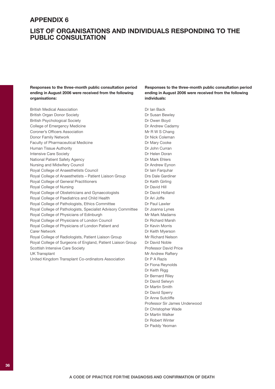### APPENDIX 6

### List of organisations and individuals responding to the public consultation

**Responses to the three-month public consultation period ending in August 2006 were received from the following organisations:**

British Medical Association British Organ Donor Society British Psychological Society College of Emergency Medicine Coroner's Officers Association Donor Family Network Faculty of Pharmaceutical Medicine Human Tissue Authority Intensive Care Society National Patient Safety Agency Nursing and Midwifery Council Royal College of Anaesthetists Council Royal College of Anaesthetists – Patient Liaison Group Royal College of General Practitioners Royal College of Nursing Royal College of Obstetricians and Gynaecologists Royal College of Paediatrics and Child Health Royal College of Pathologists, Ethics Committee Royal College of Pathologists, Specialist Advisory Committee Royal College of Physicians of Edinburgh Royal College of Physicians of London Council Royal College of Physicians of London Patient and Carer Network Royal College of Radiologists, Patient Liaison Group Royal College of Surgeons of England, Patient Liaison Group Scottish Intensive Care Society UK Transplant United Kingdom Transplant Co-ordinators Association

**Responses to the three-month public consultation period ending in August 2006 were received from the following individuals:**

Dr Ian Back Dr Susan Bewley Dr Owen Boyd Dr Andrew Cadamy Mr R W S Chang Dr Nick Coleman Dr Mary Cooke Dr John Curran Dr Helen Doran Dr Mark Ehlers Dr Andrew Eynon Dr Iain Farquhar Drs Dale Gardiner Dr Keith Girling Dr David Hill Dr David Holland Dr Ari Joffe Dr Paul Lawler Dr Joanna Lynes Mr Mark Madams Dr Richard Marsh Dr Kevin Morris Dr Keith Myerson Mr Richard Nelson Dr David Noble Professor David Price Mr Andrew Raftery Dr P A Razis Dr Fiona Reynolds Dr Keith Rigg Dr Bernard Riley Dr David Selwyn Dr Martin Smith Dr David Sperry Dr Anne Sutcliffe Professor Sir James Underwood Dr Christopher Wade Dr Martin Walker Dr Robert Winter Dr Paddy Yeoman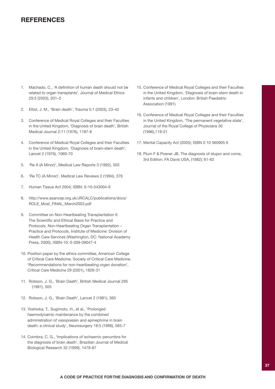### **REFERENCES**

- 1. Machado, C., 'A definition of human death should not be related to organ transplants', Journal of Medical Ethics 29:3 (2003), 201–2
- 2. Elliot, J. M., 'Brain death', Trauma 5:1 (2003), 23–42
- 3. Conference of Medical Royal Colleges and their Faculties in the United Kingdom, 'Diagnosis of brain death', British Medical Journal 2:11 (1976), 1187-8
- 4. Conference of Medical Royal Colleges and their Faculties in the United Kingdom, 'Diagnosis of brain-stem death', Lancet 2 (1976), 1069-70
- 5. 'Re A (A Minor)', Medical Law Reports 3 (1992), 303
- 6. 'Re TC (A Minor)', Medical Law Reviews 2 (1994), 376
- 7. Human Tissue Act 2004; ISBN: 0-10-543004-8
- 8. http://www.asancep.org.uk/JRCALC/publications/docs/ ROLE\_Most\_FINAL\_March2003.pdf
- 9. Committee on Non-Heartbeating Transplantation II: The Scientific and Ethical Basis for Practice and Protocols. Non-Heartbeating Organ Transplantation – Practice and Protocols, Institute of Medicine: Division of Health Care Services (Washington, DC: National Academy Press, 2000), ISBN-10: 0-309-09047-4
- 10. Position paper by the ethics committee, American College of Critical Care Medicine, Society of Critical Care Medicine. 'Recommendations for non-heartbeating organ donation', Critical Care Medicine 29 (2001), 1826-31
- 11. Robson, J. G., 'Brain Death', British Medical Journal 295 (1981), 505
- 12. Robson, J. G., 'Brain Death', Lancet 2 (1981), 365
- 13. Yoshioka, T,. Sugimoto, H., et al., 'Prolonged haemodynamic maintenance by the combined administration of vasopressin and epinephrine in brain death: a clinical study', Neurosurgery 18:5 (1986), 565-7
- 14. Coimbra, C. G., 'Implications of ischaemic penumbra for the diagnosis of brain death', Brazilian Journal of Medical Biological Research 32 (1999), 1479-87
- 15. Conference of Medical Royal Colleges and their Faculties in the United Kingdom, 'Diagnosis of brain-stem death in infants and children', London: British Paediatric Association (1991)
- 16. Conference of Medical Royal Colleges and their Faculties in the United Kingdom, 'The permanent vegetative state', Journal of the Royal College of Physicians 30 (1996),119-21
- 17. Mental Capacity Act (2005); ISBN 0 10 560905 6
- 18. Plum F & Posner JB. The diagnosis of stupor and coma, 3rd Edition. FA Davis USA, (1982); 61-62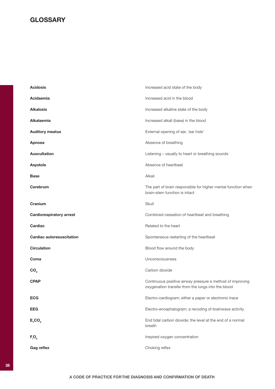# GLOSSARY

| <b>Acidosis</b>                  | Increased acid state of the body                                                                                |
|----------------------------------|-----------------------------------------------------------------------------------------------------------------|
| Acidaemia                        | Increased acid in the blood                                                                                     |
| <b>Alkalosis</b>                 | Increased alkaline state of the body                                                                            |
| <b>Alkalaemia</b>                | Increased alkali (base) in the blood                                                                            |
| <b>Auditory meatus</b>           | External opening of ear, 'ear hole'                                                                             |
| Apnoea                           | Absence of breathing                                                                                            |
| <b>Auscultation</b>              | Listening - usually to heart or breathing sounds                                                                |
| <b>Asystole</b>                  | Absence of heartbeat                                                                                            |
| <b>Base</b>                      | Alkali                                                                                                          |
| Cerebrum                         | The part of brain responsible for higher mental function when<br>brain-stem function is intact                  |
| Cranium                          | Skull                                                                                                           |
| <b>Cardiorespiratory arrest</b>  | Combined cessation of heartbeat and breathing                                                                   |
| Cardiac                          | Related to the heart                                                                                            |
| <b>Cardiac autoresuscitation</b> | Spontaneous restarting of the heartbeat                                                                         |
| <b>Circulation</b>               | Blood flow around the body                                                                                      |
| Coma                             | Unconsciousness                                                                                                 |
| CO <sub>2</sub>                  | Carbon dioxide                                                                                                  |
| <b>CPAP</b>                      | Continuous positive airway pressure a method of improving<br>oxygenation transfer from the lungs into the blood |
| <b>ECG</b>                       | Electro-cardiogram; either a paper or electronic trace                                                          |
| <b>EEG</b>                       | Electro-encephalogram; a recoding of brainwave activity                                                         |
| E <sub>T</sub> CO <sub>2</sub>   | End tidal carbon dioxide; the level at the end of a normal<br>breath                                            |
| $F_iO_2$                         | Inspired oxygen concentration                                                                                   |
| <b>Gag reflex</b>                | Choking reflex                                                                                                  |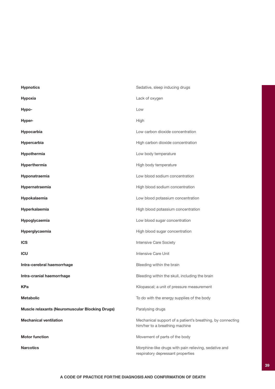| <b>Hypnotics</b>                                       | Sedative, sleep inducing drugs                                                               |
|--------------------------------------------------------|----------------------------------------------------------------------------------------------|
| Hypoxia                                                | Lack of oxygen                                                                               |
| Hypo-                                                  | Low                                                                                          |
| Hyper-                                                 | High                                                                                         |
| Hypocarbia                                             | Low carbon dioxide concentration                                                             |
| Hypercarbia                                            | High carbon dioxide concentration                                                            |
| Hypothermia                                            | Low body temperature                                                                         |
| Hyperthermia                                           | High body temperature                                                                        |
| Hyponatraemia                                          | Low blood sodium concentration                                                               |
| Hypernatraemia                                         | High blood sodium concentration                                                              |
| Hypokalaemia                                           | Low blood potassium concentration                                                            |
| Hyperkalaemia                                          | High blood potassium concentration                                                           |
| Hypoglycaemia                                          | Low blood sugar concentration                                                                |
| Hyperglycaemia                                         | High blood sugar concentration                                                               |
| <b>ICS</b>                                             | Intensive Care Society                                                                       |
| <b>ICU</b>                                             | Intensive Care Unit                                                                          |
| Intra-cerebral haemorrhage                             | Bleeding within the brain                                                                    |
| Intra-cranial haemorrhage                              | Bleeding within the skull, including the brain                                               |
| <b>KPa</b>                                             | Kilopascal; a unit of pressure measurement                                                   |
| <b>Metabolic</b>                                       | To do with the energy supplies of the body                                                   |
| <b>Muscle relaxants (Neuromuscular Blocking Drugs)</b> | Paralysing drugs                                                                             |
| <b>Mechanical ventilation</b>                          | Mechanical support of a patient's breathing, by connecting<br>him/her to a breathing machine |
| <b>Motor function</b>                                  | Movement of parts of the body                                                                |
| <b>Narcotics</b>                                       | Morphine-like drugs with pain relieving, sedative and<br>respiratory depressant properties   |

#### **A CODE OF PRACTICE FOR THE DIAGNOSIS AND CONFIRMATION OF DEATH**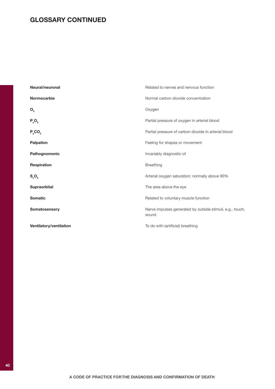# **GLOSSARY CONTINUED**

| Neural/neuronal         | Related to nerves and nervous function                             |
|-------------------------|--------------------------------------------------------------------|
| <b>Normocarbia</b>      | Normal carbon dioxide concentration                                |
| O <sub>2</sub>          | Oxygen                                                             |
| $P_aO_2$                | Partial pressure of oxygen in arterial blood                       |
| $P_{a}CO_{2}$           | Partial pressure of carbon dioxide in arterial blood               |
| <b>Palpation</b>        | Feeling for shapes or movement                                     |
| Pathognomonic           | Invariably diagnostic of                                           |
| <b>Respiration</b>      | <b>Breathing</b>                                                   |
| $S_aO_2$                | Arterial oxygen saturation; normally above 90%                     |
| Supraorbital            | The area above the eye                                             |
| <b>Somatic</b>          | Related to voluntary muscle function                               |
| Somatosensory           | Nerve impulses generated by outside stimuli, e.g., touch,<br>sound |
| Ventilatory/ventilation | To do with (artificial) breathing                                  |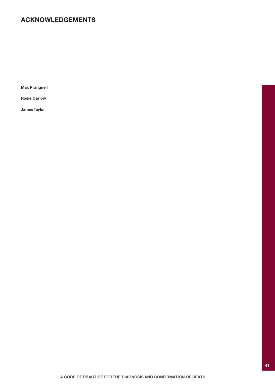# Acknowledgements

**Max Prangnell**

**Rosie Carlow**

**James Taylor**